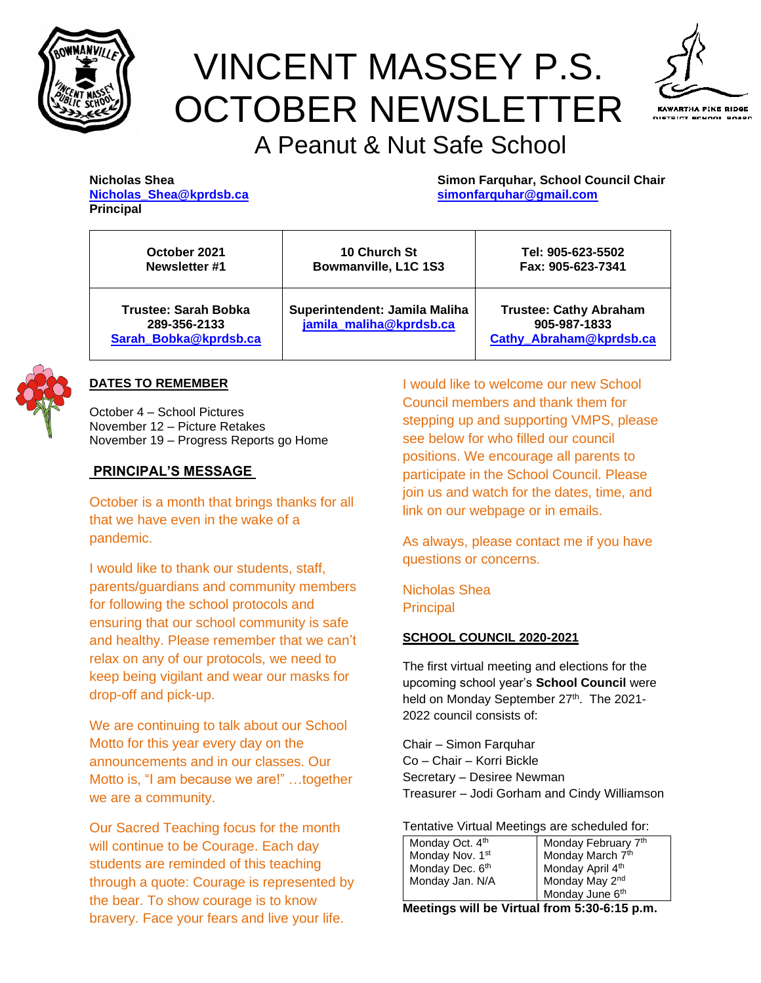

# VINCENT MASSEY P.S. OCTOBER NEWSLETTER



# A Peanut & Nut Safe School

**Principal**

**Nicholas Shea Simon Farquhar, School Council Chair [Nicholas\\_Shea@kprdsb.ca](mailto:Nicholas_Shea@kprdsb.ca) [simonfarquhar@gmail.com](mailto:simonfarquhar@gmail.com)**

| October 2021                                                         | 10 Church St                                             | Tel: 905-623-5502 |
|----------------------------------------------------------------------|----------------------------------------------------------|-------------------|
| Newsletter #1                                                        | Bowmanville, L1C 1S3                                     | Fax: 905-623-7341 |
| <b>Trustee: Sarah Bobka</b><br>289-356-2133<br>Sarah Bobka@kprdsb.ca | Superintendent: Jamila Maliha<br>jamila maliha@kprdsb.ca |                   |



#### **DATES TO REMEMBER**

October 4 – School Pictures November 12 – Picture Retakes November 19 – Progress Reports go Home

#### **PRINCIPAL'S MESSAGE**

October is a month that brings thanks for all that we have even in the wake of a pandemic.

I would like to thank our students, staff, parents/guardians and community members for following the school protocols and ensuring that our school community is safe and healthy. Please remember that we can't relax on any of our protocols, we need to keep being vigilant and wear our masks for drop-off and pick-up.

We are continuing to talk about our School Motto for this year every day on the announcements and in our classes. Our Motto is, "I am because we are!" …together we are a community.

Our Sacred Teaching focus for the month will continue to be Courage. Each day students are reminded of this teaching through a quote: Courage is represented by the bear. To show courage is to know bravery. Face your fears and live your life.

I would like to welcome our new School Council members and thank them for stepping up and supporting VMPS, please see below for who filled our council positions. We encourage all parents to participate in the School Council. Please join us and watch for the dates, time, and link on our webpage or in emails.

As always, please contact me if you have questions or concerns.

Nicholas Shea **Principal** 

#### **SCHOOL COUNCIL 2020-2021**

The first virtual meeting and elections for the upcoming school year's **School Council** were held on Monday September 27<sup>th</sup>. The 2021-2022 council consists of:

Chair – Simon Farquhar Co – Chair – Korri Bickle Secretary – Desiree Newman Treasurer – Jodi Gorham and Cindy Williamson

Tentative Virtual Meetings are scheduled for:

| Monday Oct. 4 <sup>th</sup> | Monday February 7th |
|-----------------------------|---------------------|
| Monday Nov. 1 <sup>st</sup> | Monday March 7th    |
| Monday Dec. 6th             | Monday April 4th    |
| Monday Jan. N/A             | Monday May 2nd      |
|                             | Monday June 6th     |

**Meetings will be Virtual from 5:30-6:15 p.m.**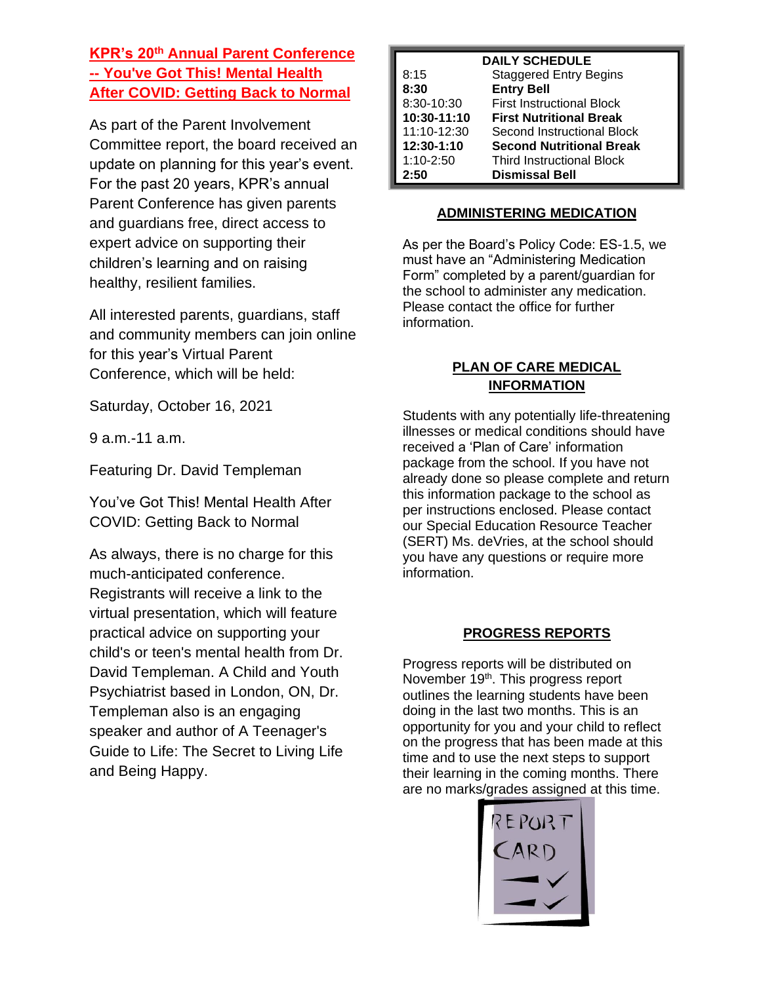# **KPR's 20th Annual Parent Conference -- You've Got This! Mental Health After COVID: Getting Back to Normal**

As part of the Parent Involvement Committee report, the board received an update on planning for this year's event. For the past 20 years, KPR's annual Parent Conference has given parents and guardians free, direct access to expert advice on supporting their children's learning and on raising healthy, resilient families.

All interested parents, guardians, staff and community members can join online for this year's Virtual Parent Conference, which will be held:

Saturday, October 16, 2021

9 a.m.-11 a.m.

Featuring Dr. David Templeman

You've Got This! Mental Health After COVID: Getting Back to Normal

As always, there is no charge for this much-anticipated conference. Registrants will receive a link to the virtual presentation, which will feature practical advice on supporting your child's or teen's mental health from Dr. David Templeman. A Child and Youth Psychiatrist based in London, ON, Dr. Templeman also is an engaging speaker and author of A Teenager's Guide to Life: The Secret to Living Life and Being Happy.

| <b>DAILY SCHEDULE</b> |                                  |  |  |
|-----------------------|----------------------------------|--|--|
| 8:15                  | <b>Staggered Entry Begins</b>    |  |  |
| 8:30                  | <b>Entry Bell</b>                |  |  |
| 8:30-10:30            | <b>First Instructional Block</b> |  |  |
| 10:30-11:10           | <b>First Nutritional Break</b>   |  |  |
| 11:10-12:30           | Second Instructional Block       |  |  |
| 12:30-1:10            | <b>Second Nutritional Break</b>  |  |  |
| 1:10-2:50             | <b>Third Instructional Block</b> |  |  |
| 2:50                  | <b>Dismissal Bell</b>            |  |  |

#### **ADMINISTERING MEDICATION**

As per the Board's Policy Code: ES-1.5, we must have an "Administering Medication Form" completed by a parent/guardian for the school to administer any medication. Please contact the office for further information.

# **PLAN OF CARE MEDICAL INFORMATION**

Students with any potentially life-threatening illnesses or medical conditions should have received a 'Plan of Care' information package from the school. If you have not already done so please complete and return this information package to the school as per instructions enclosed. Please contact our Special Education Resource Teacher (SERT) Ms. deVries, at the school should you have any questions or require more information.

# **PROGRESS REPORTS**

Progress reports will be distributed on November 19<sup>th</sup>. This progress report outlines the learning students have been doing in the last two months. This is an opportunity for you and your child to reflect on the progress that has been made at this time and to use the next steps to support their learning in the coming months. There are no marks/grades assigned at this time.

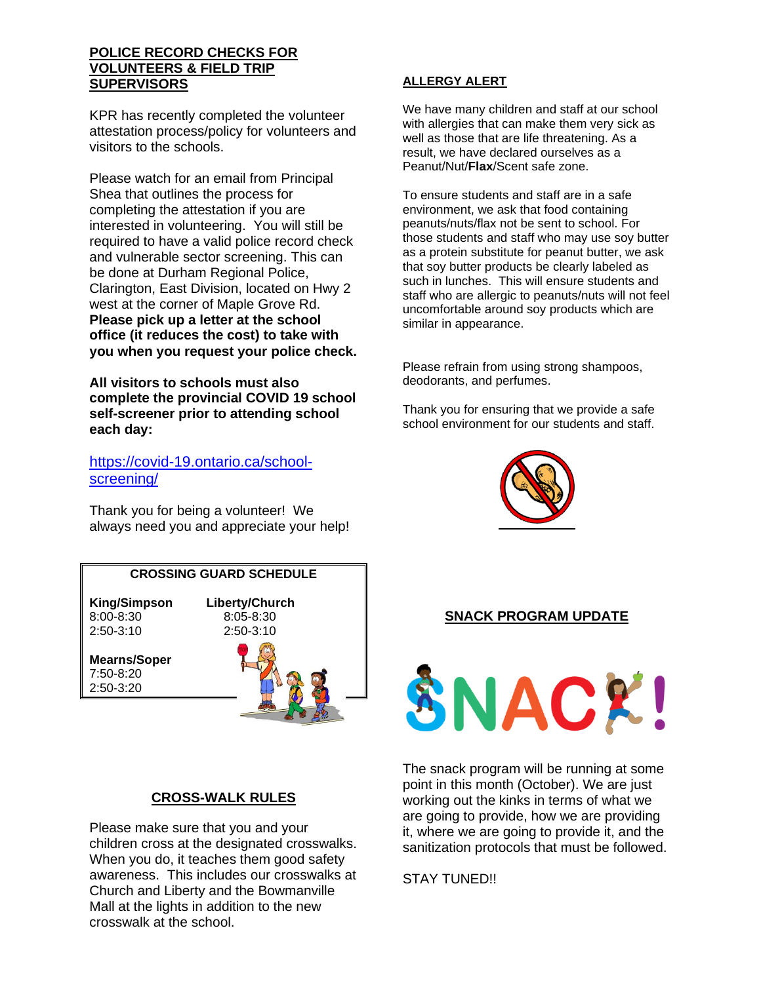#### **POLICE RECORD CHECKS FOR VOLUNTEERS & FIELD TRIP SUPERVISORS**

KPR has recently completed the volunteer attestation process/policy for volunteers and visitors to the schools.

Please watch for an email from Principal Shea that outlines the process for completing the attestation if you are interested in volunteering. You will still be required to have a valid police record check and vulnerable sector screening. This can be done at Durham Regional Police, Clarington, East Division, located on Hwy 2 west at the corner of Maple Grove Rd. **Please pick up a letter at the school office (it reduces the cost) to take with you when you request your police check.**

**All visitors to schools must also complete the provincial COVID 19 school self-screener prior to attending school each day:**

[https://covid-19.ontario.ca/school](https://can01.safelinks.protection.outlook.com/?url=https%3A%2F%2Fcovid-19.ontario.ca%2Fschool-screening%2F&data=04%7C01%7C%7C175789be08494ea8738608d984397476%7C2b94e694f4c94cc09af4294713f6f565%7C0%7C0%7C637686204567781270%7CUnknown%7CTWFpbGZsb3d8eyJWIjoiMC4wLjAwMDAiLCJQIjoiV2luMzIiLCJBTiI6Ik1haWwiLCJXVCI6Mn0%3D%7C1000&sdata=8JCSjWWm9Hf757b65tp6DUuPLwmEnCuDxpLGD%2FqlccE%3D&reserved=0)[screening/](https://can01.safelinks.protection.outlook.com/?url=https%3A%2F%2Fcovid-19.ontario.ca%2Fschool-screening%2F&data=04%7C01%7C%7C175789be08494ea8738608d984397476%7C2b94e694f4c94cc09af4294713f6f565%7C0%7C0%7C637686204567781270%7CUnknown%7CTWFpbGZsb3d8eyJWIjoiMC4wLjAwMDAiLCJQIjoiV2luMzIiLCJBTiI6Ik1haWwiLCJXVCI6Mn0%3D%7C1000&sdata=8JCSjWWm9Hf757b65tp6DUuPLwmEnCuDxpLGD%2FqlccE%3D&reserved=0)

Thank you for being a volunteer! We always need you and appreciate your help!

# **CROSSING GUARD SCHEDULE**

8:00-8:30 8:05-8:30 2:50-3:10 2:50-3:10

**King/Simpson Liberty/Church**

**Mearns/Soper** 7:50-8:20 2:50-3:20



# **CROSS-WALK RULES**

Please make sure that you and your children cross at the designated crosswalks. When you do, it teaches them good safety awareness. This includes our crosswalks at Church and Liberty and the Bowmanville Mall at the lights in addition to the new crosswalk at the school.

### **ALLERGY ALERT**

We have many children and staff at our school with allergies that can make them very sick as well as those that are life threatening. As a result, we have declared ourselves as a Peanut/Nut/**Flax**/Scent safe zone.

To ensure students and staff are in a safe environment, we ask that food containing peanuts/nuts/flax not be sent to school. For those students and staff who may use soy butter as a protein substitute for peanut butter, we ask that soy butter products be clearly labeled as such in lunches. This will ensure students and staff who are allergic to peanuts/nuts will not feel uncomfortable around soy products which are similar in appearance.

Please refrain from using strong shampoos, deodorants, and perfumes.

Thank you for ensuring that we provide a safe school environment for our students and staff.



#### **SNACK PROGRAM UPDATE**



The snack program will be running at some point in this month (October). We are just working out the kinks in terms of what we are going to provide, how we are providing it, where we are going to provide it, and the sanitization protocols that must be followed.

STAY TUNED!!